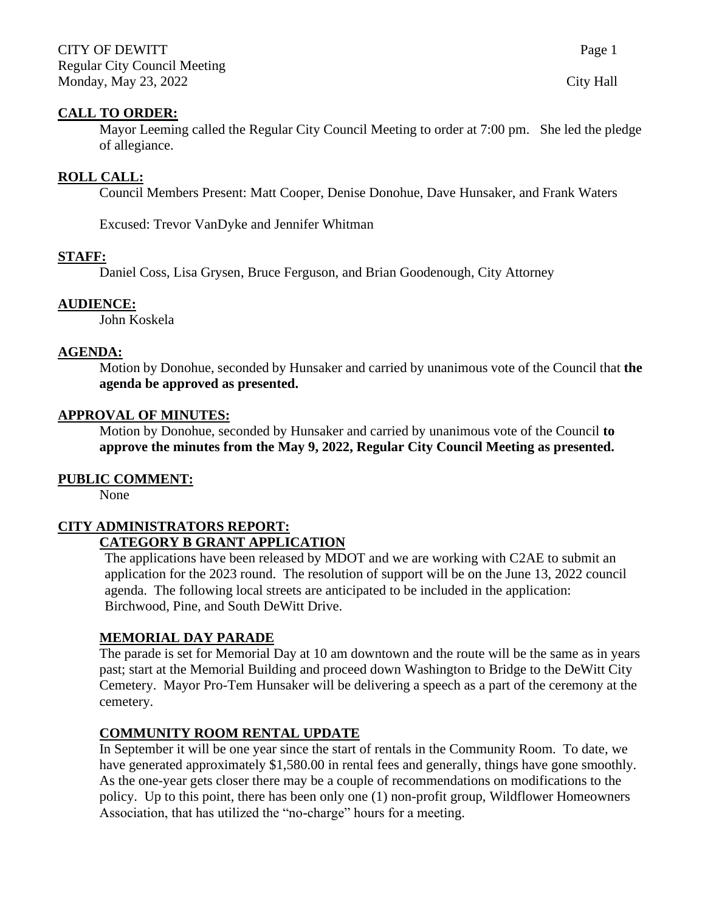### **CALL TO ORDER:**

Mayor Leeming called the Regular City Council Meeting to order at 7:00 pm. She led the pledge of allegiance.

### **ROLL CALL:**

Council Members Present: Matt Cooper, Denise Donohue, Dave Hunsaker, and Frank Waters

Excused: Trevor VanDyke and Jennifer Whitman

### **STAFF:**

Daniel Coss, Lisa Grysen, Bruce Ferguson, and Brian Goodenough, City Attorney

#### **AUDIENCE:**

John Koskela

#### **AGENDA:**

Motion by Donohue, seconded by Hunsaker and carried by unanimous vote of the Council that **the agenda be approved as presented.**

#### **APPROVAL OF MINUTES:**

Motion by Donohue, seconded by Hunsaker and carried by unanimous vote of the Council **to approve the minutes from the May 9, 2022, Regular City Council Meeting as presented.**

### **PUBLIC COMMENT:**

None

### **CITY ADMINISTRATORS REPORT: CATEGORY B GRANT APPLICATION**

The applications have been released by MDOT and we are working with C2AE to submit an application for the 2023 round. The resolution of support will be on the June 13, 2022 council agenda. The following local streets are anticipated to be included in the application: Birchwood, Pine, and South DeWitt Drive.

### **MEMORIAL DAY PARADE**

The parade is set for Memorial Day at 10 am downtown and the route will be the same as in years past; start at the Memorial Building and proceed down Washington to Bridge to the DeWitt City Cemetery. Mayor Pro-Tem Hunsaker will be delivering a speech as a part of the ceremony at the cemetery.

### **COMMUNITY ROOM RENTAL UPDATE**

In September it will be one year since the start of rentals in the Community Room. To date, we have generated approximately \$1,580.00 in rental fees and generally, things have gone smoothly. As the one-year gets closer there may be a couple of recommendations on modifications to the policy. Up to this point, there has been only one (1) non-profit group, Wildflower Homeowners Association, that has utilized the "no-charge" hours for a meeting.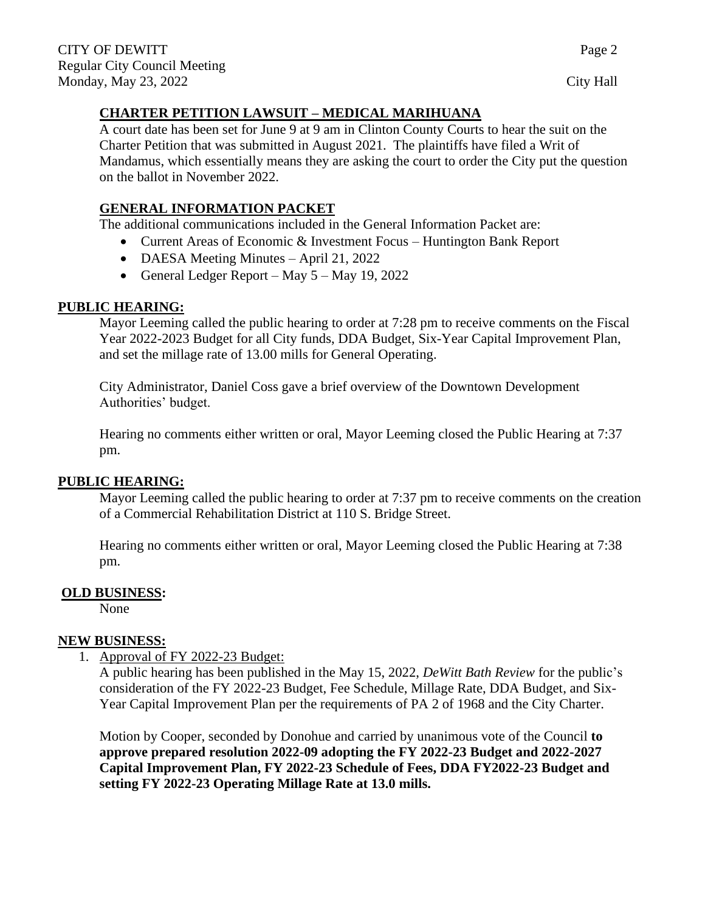# **CHARTER PETITION LAWSUIT – MEDICAL MARIHUANA**

A court date has been set for June 9 at 9 am in Clinton County Courts to hear the suit on the Charter Petition that was submitted in August 2021. The plaintiffs have filed a Writ of Mandamus, which essentially means they are asking the court to order the City put the question on the ballot in November 2022.

## **GENERAL INFORMATION PACKET**

The additional communications included in the General Information Packet are:

- Current Areas of Economic & Investment Focus Huntington Bank Report
- DAESA Meeting Minutes April 21, 2022
- General Ledger Report May  $5 -$ May 19, 2022

## **PUBLIC HEARING:**

Mayor Leeming called the public hearing to order at 7:28 pm to receive comments on the Fiscal Year 2022-2023 Budget for all City funds, DDA Budget, Six-Year Capital Improvement Plan, and set the millage rate of 13.00 mills for General Operating.

City Administrator, Daniel Coss gave a brief overview of the Downtown Development Authorities' budget.

Hearing no comments either written or oral, Mayor Leeming closed the Public Hearing at 7:37 pm.

## **PUBLIC HEARING:**

Mayor Leeming called the public hearing to order at 7:37 pm to receive comments on the creation of a Commercial Rehabilitation District at 110 S. Bridge Street.

Hearing no comments either written or oral, Mayor Leeming closed the Public Hearing at 7:38 pm.

## **OLD BUSINESS:**

None

## **NEW BUSINESS:**

1. Approval of FY 2022-23 Budget:

A public hearing has been published in the May 15, 2022, *DeWitt Bath Review* for the public's consideration of the FY 2022-23 Budget, Fee Schedule, Millage Rate, DDA Budget, and Six-Year Capital Improvement Plan per the requirements of PA 2 of 1968 and the City Charter.

Motion by Cooper, seconded by Donohue and carried by unanimous vote of the Council **to approve prepared resolution 2022-09 adopting the FY 2022-23 Budget and 2022-2027 Capital Improvement Plan, FY 2022-23 Schedule of Fees, DDA FY2022-23 Budget and setting FY 2022-23 Operating Millage Rate at 13.0 mills.**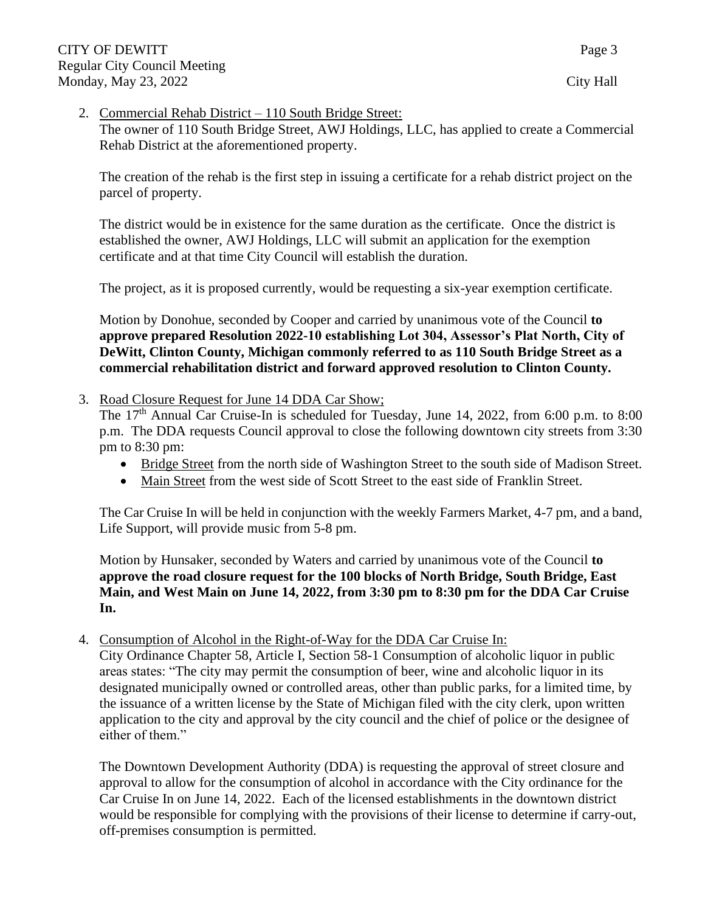### 2. Commercial Rehab District – 110 South Bridge Street:

The owner of 110 South Bridge Street, AWJ Holdings, LLC, has applied to create a Commercial Rehab District at the aforementioned property.

The creation of the rehab is the first step in issuing a certificate for a rehab district project on the parcel of property.

The district would be in existence for the same duration as the certificate. Once the district is established the owner, AWJ Holdings, LLC will submit an application for the exemption certificate and at that time City Council will establish the duration.

The project, as it is proposed currently, would be requesting a six-year exemption certificate.

Motion by Donohue, seconded by Cooper and carried by unanimous vote of the Council **to approve prepared Resolution 2022-10 establishing Lot 304, Assessor's Plat North, City of DeWitt, Clinton County, Michigan commonly referred to as 110 South Bridge Street as a commercial rehabilitation district and forward approved resolution to Clinton County.**

### 3. Road Closure Request for June 14 DDA Car Show;

The 17<sup>th</sup> Annual Car Cruise-In is scheduled for Tuesday, June 14, 2022, from 6:00 p.m. to 8:00 p.m. The DDA requests Council approval to close the following downtown city streets from 3:30 pm to 8:30 pm:

- Bridge Street from the north side of Washington Street to the south side of Madison Street.
- Main Street from the west side of Scott Street to the east side of Franklin Street.

The Car Cruise In will be held in conjunction with the weekly Farmers Market, 4-7 pm, and a band, Life Support, will provide music from 5-8 pm.

Motion by Hunsaker, seconded by Waters and carried by unanimous vote of the Council **to approve the road closure request for the 100 blocks of North Bridge, South Bridge, East Main, and West Main on June 14, 2022, from 3:30 pm to 8:30 pm for the DDA Car Cruise In.** 

4. Consumption of Alcohol in the Right-of-Way for the DDA Car Cruise In:

City Ordinance Chapter 58, Article I, Section 58-1 Consumption of alcoholic liquor in public areas states: "The city may permit the consumption of beer, wine and alcoholic liquor in its designated municipally owned or controlled areas, other than public parks, for a limited time, by the issuance of a written license by the State of Michigan filed with the city clerk, upon written application to the city and approval by the city council and the chief of police or the designee of either of them."

The Downtown Development Authority (DDA) is requesting the approval of street closure and approval to allow for the consumption of alcohol in accordance with the City ordinance for the Car Cruise In on June 14, 2022. Each of the licensed establishments in the downtown district would be responsible for complying with the provisions of their license to determine if carry-out, off-premises consumption is permitted.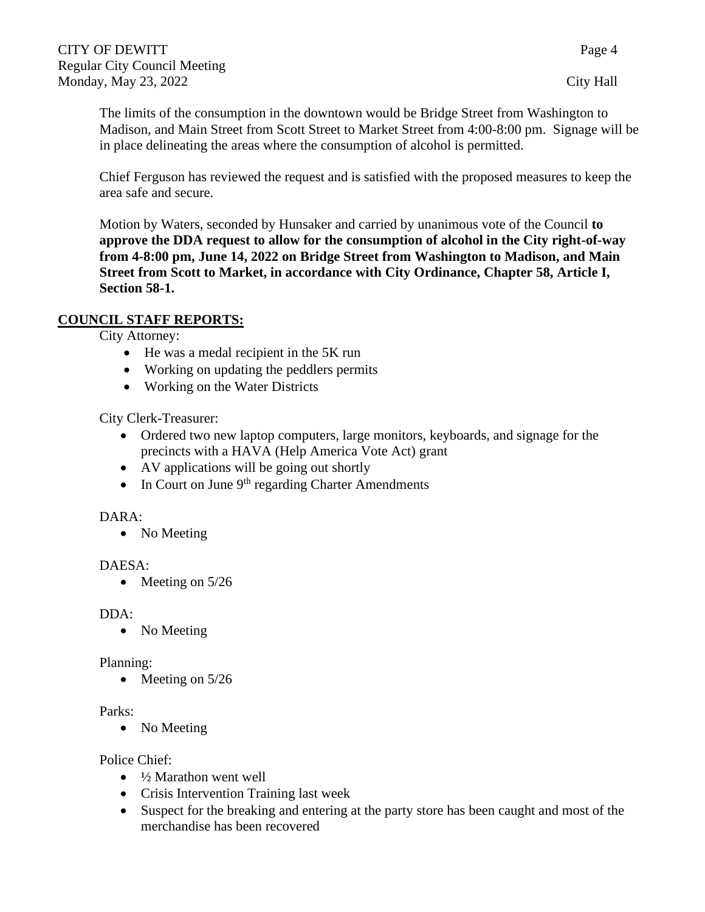The limits of the consumption in the downtown would be Bridge Street from Washington to Madison, and Main Street from Scott Street to Market Street from 4:00-8:00 pm. Signage will be in place delineating the areas where the consumption of alcohol is permitted.

Chief Ferguson has reviewed the request and is satisfied with the proposed measures to keep the area safe and secure.

Motion by Waters, seconded by Hunsaker and carried by unanimous vote of the Council **to approve the DDA request to allow for the consumption of alcohol in the City right-of-way from 4-8:00 pm, June 14, 2022 on Bridge Street from Washington to Madison, and Main Street from Scott to Market, in accordance with City Ordinance, Chapter 58, Article I, Section 58-1.**

### **COUNCIL STAFF REPORTS:**

City Attorney:

- He was a medal recipient in the 5K run
- Working on updating the peddlers permits
- Working on the Water Districts

City Clerk-Treasurer:

- Ordered two new laptop computers, large monitors, keyboards, and signage for the precincts with a HAVA (Help America Vote Act) grant
- AV applications will be going out shortly
- In Court on June  $9<sup>th</sup>$  regarding Charter Amendments

### DARA:

• No Meeting

### DAESA:

• Meeting on 5/26

#### DDA:

• No Meeting

### Planning:

• Meeting on 5/26

### Parks:

• No Meeting

### Police Chief:

- $\bullet$   $\frac{1}{2}$  Marathon went well
- Crisis Intervention Training last week
- Suspect for the breaking and entering at the party store has been caught and most of the merchandise has been recovered